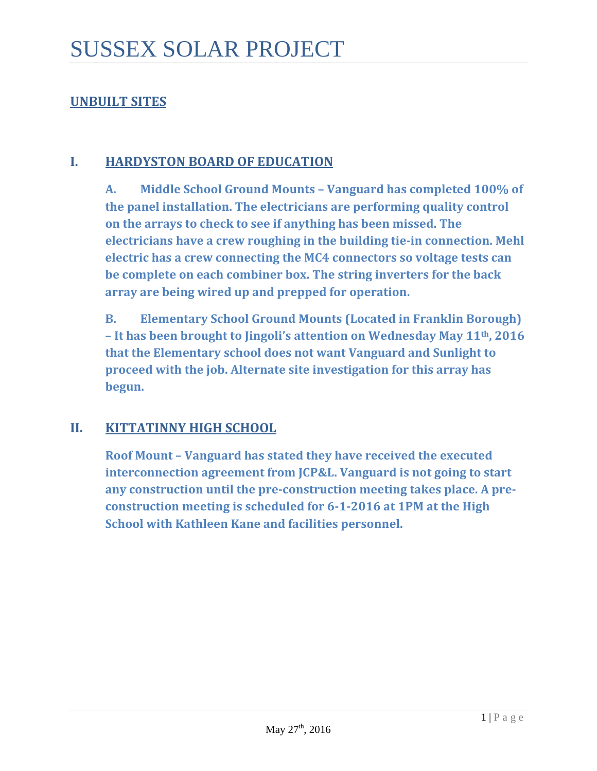## **UNBUILT SITES**

#### **I. HARDYSTON BOARD OF EDUCATION**

**A. Middle School Ground Mounts – Vanguard has completed 100% of the panel installation. The electricians are performing quality control on the arrays to check to see if anything has been missed. The electricians have a crew roughing in the building tie-in connection. Mehl electric has a crew connecting the MC4 connectors so voltage tests can be complete on each combiner box. The string inverters for the back array are being wired up and prepped for operation.** 

**B. Elementary School Ground Mounts (Located in Franklin Borough) – It has been brought to Jingoli's attention on Wednesday May 11th, 2016 that the Elementary school does not want Vanguard and Sunlight to proceed with the job. Alternate site investigation for this array has begun.** 

#### **II. KITTATINNY HIGH SCHOOL**

**Roof Mount – Vanguard has stated they have received the executed interconnection agreement from JCP&L. Vanguard is not going to start any construction until the pre-construction meeting takes place. A preconstruction meeting is scheduled for 6-1-2016 at 1PM at the High School with Kathleen Kane and facilities personnel.**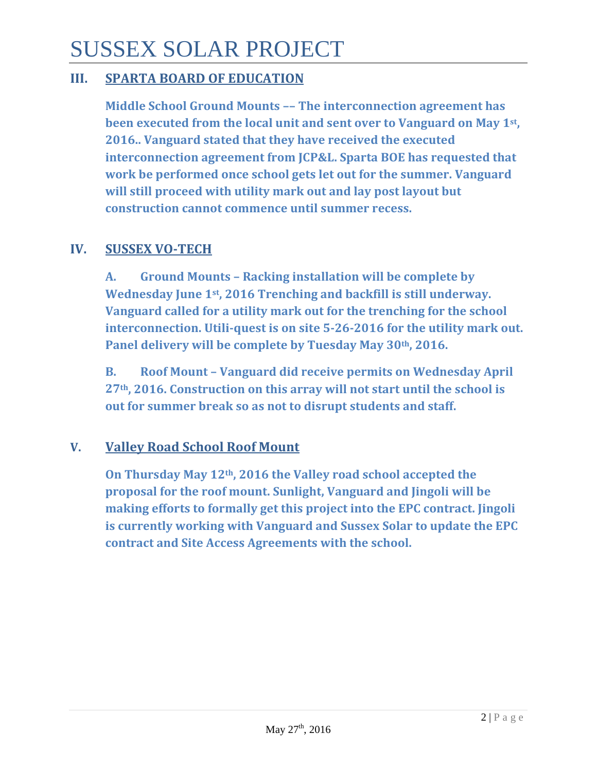# SUSSEX SOLAR PROJECT

## **III. SPARTA BOARD OF EDUCATION**

**Middle School Ground Mounts –– The interconnection agreement has been executed from the local unit and sent over to Vanguard on May 1st, 2016.. Vanguard stated that they have received the executed interconnection agreement from JCP&L. Sparta BOE has requested that work be performed once school gets let out for the summer. Vanguard will still proceed with utility mark out and lay post layout but construction cannot commence until summer recess.** 

## **IV. SUSSEX VO-TECH**

**A. Ground Mounts – Racking installation will be complete by Wednesday June 1st, 2016 Trenching and backfill is still underway. Vanguard called for a utility mark out for the trenching for the school interconnection. Utili-quest is on site 5-26-2016 for the utility mark out. Panel delivery will be complete by Tuesday May 30th, 2016.**

**B. Roof Mount – Vanguard did receive permits on Wednesday April 27th, 2016. Construction on this array will not start until the school is out for summer break so as not to disrupt students and staff.**

#### **V. Valley Road School Roof Mount**

**On Thursday May 12th, 2016 the Valley road school accepted the proposal for the roof mount. Sunlight, Vanguard and Jingoli will be making efforts to formally get this project into the EPC contract. Jingoli is currently working with Vanguard and Sussex Solar to update the EPC contract and Site Access Agreements with the school.**